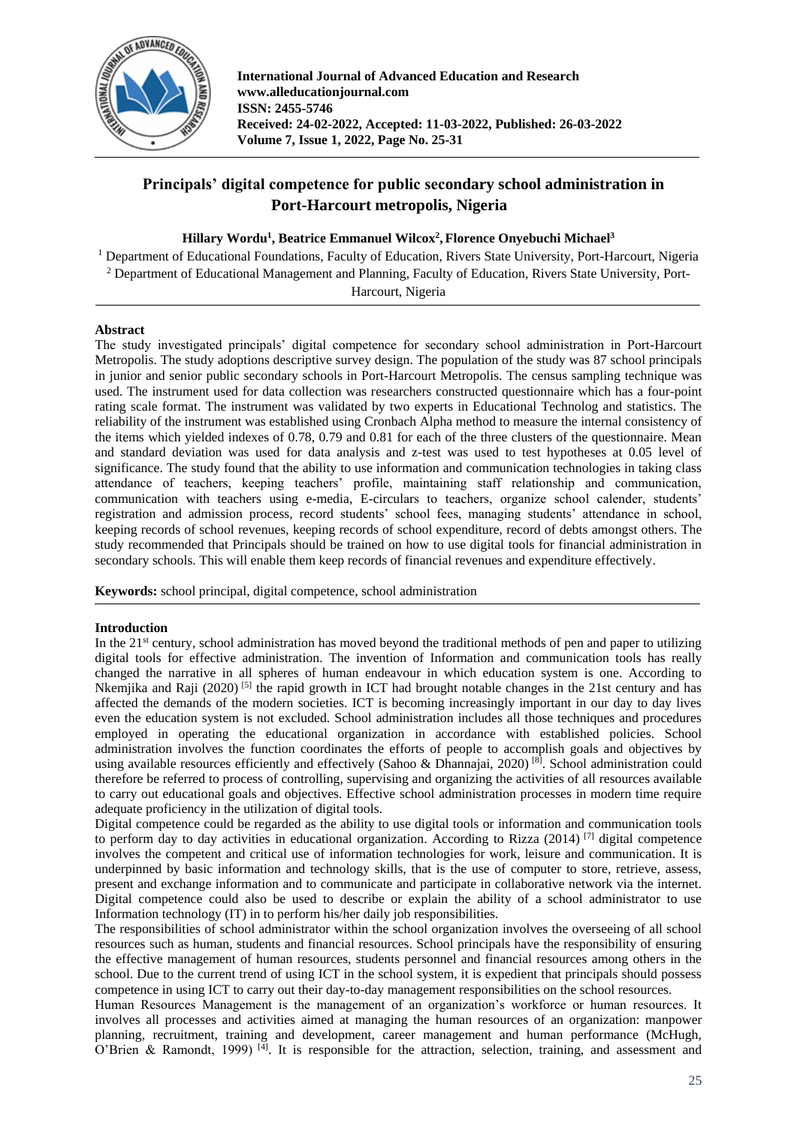

**International Journal of Advanced Education and Research www.alleducationjournal.com ISSN: 2455-5746 Received: 24-02-2022, Accepted: 11-03-2022, Published: 26-03-2022 Volume 7, Issue 1, 2022, Page No. 25-31**

# **Principals' digital competence for public secondary school administration in Port-Harcourt metropolis, Nigeria**

# **Hillary Wordu<sup>1</sup> , Beatrice Emmanuel Wilcox<sup>2</sup> , Florence Onyebuchi Michael<sup>3</sup>**

<sup>1</sup> Department of Educational Foundations, Faculty of Education, Rivers State University, Port-Harcourt, Nigeria <sup>2</sup> Department of Educational Management and Planning, Faculty of Education, Rivers State University, Port-

Harcourt, Nigeria

# **Abstract**

The study investigated principals' digital competence for secondary school administration in Port-Harcourt Metropolis. The study adoptions descriptive survey design. The population of the study was 87 school principals in junior and senior public secondary schools in Port-Harcourt Metropolis. The census sampling technique was used. The instrument used for data collection was researchers constructed questionnaire which has a four-point rating scale format. The instrument was validated by two experts in Educational Technolog and statistics. The reliability of the instrument was established using Cronbach Alpha method to measure the internal consistency of the items which yielded indexes of 0.78, 0.79 and 0.81 for each of the three clusters of the questionnaire. Mean and standard deviation was used for data analysis and z-test was used to test hypotheses at 0.05 level of significance. The study found that the ability to use information and communication technologies in taking class attendance of teachers, keeping teachers' profile, maintaining staff relationship and communication, communication with teachers using e-media, E-circulars to teachers, organize school calender, students' registration and admission process, record students' school fees, managing students' attendance in school, keeping records of school revenues, keeping records of school expenditure, record of debts amongst others. The study recommended that Principals should be trained on how to use digital tools for financial administration in secondary schools. This will enable them keep records of financial revenues and expenditure effectively.

**Keywords:** school principal, digital competence, school administration

#### **Introduction**

In the 21<sup>st</sup> century, school administration has moved beyond the traditional methods of pen and paper to utilizing digital tools for effective administration. The invention of Information and communication tools has really changed the narrative in all spheres of human endeavour in which education system is one. According to Nkemjika and Raji (2020)<sup>[5]</sup> the rapid growth in ICT had brought notable changes in the 21st century and has affected the demands of the modern societies. ICT is becoming increasingly important in our day to day lives even the education system is not excluded. School administration includes all those techniques and procedures employed in operating the educational organization in accordance with established policies. School administration involves the function coordinates the efforts of people to accomplish goals and objectives by using available resources efficiently and effectively (Sahoo & Dhannajai, 2020)<sup>[8]</sup>. School administration could therefore be referred to process of controlling, supervising and organizing the activities of all resources available to carry out educational goals and objectives. Effective school administration processes in modern time require adequate proficiency in the utilization of digital tools.

Digital competence could be regarded as the ability to use digital tools or information and communication tools to perform day to day activities in educational organization. According to Rizza (2014) [7] digital competence involves the competent and critical use of information technologies for work, leisure and communication. It is underpinned by basic information and technology skills, that is the use of computer to store, retrieve, assess, present and exchange information and to communicate and participate in collaborative network via the internet. Digital competence could also be used to describe or explain the ability of a school administrator to use Information technology (IT) in to perform his/her daily job responsibilities.

The responsibilities of school administrator within the school organization involves the overseeing of all school resources such as human, students and financial resources. School principals have the responsibility of ensuring the effective management of human resources, students personnel and financial resources among others in the school. Due to the current trend of using ICT in the school system, it is expedient that principals should possess competence in using ICT to carry out their day-to-day management responsibilities on the school resources.

Human Resources Management is the management of an organization's workforce or human resources. It involves all processes and activities aimed at managing the human resources of an organization: manpower planning, recruitment, training and development, career management and human performance (McHugh, O'Brien & Ramondt, 1999)<sup>[4]</sup>. It is responsible for the attraction, selection, training, and assessment and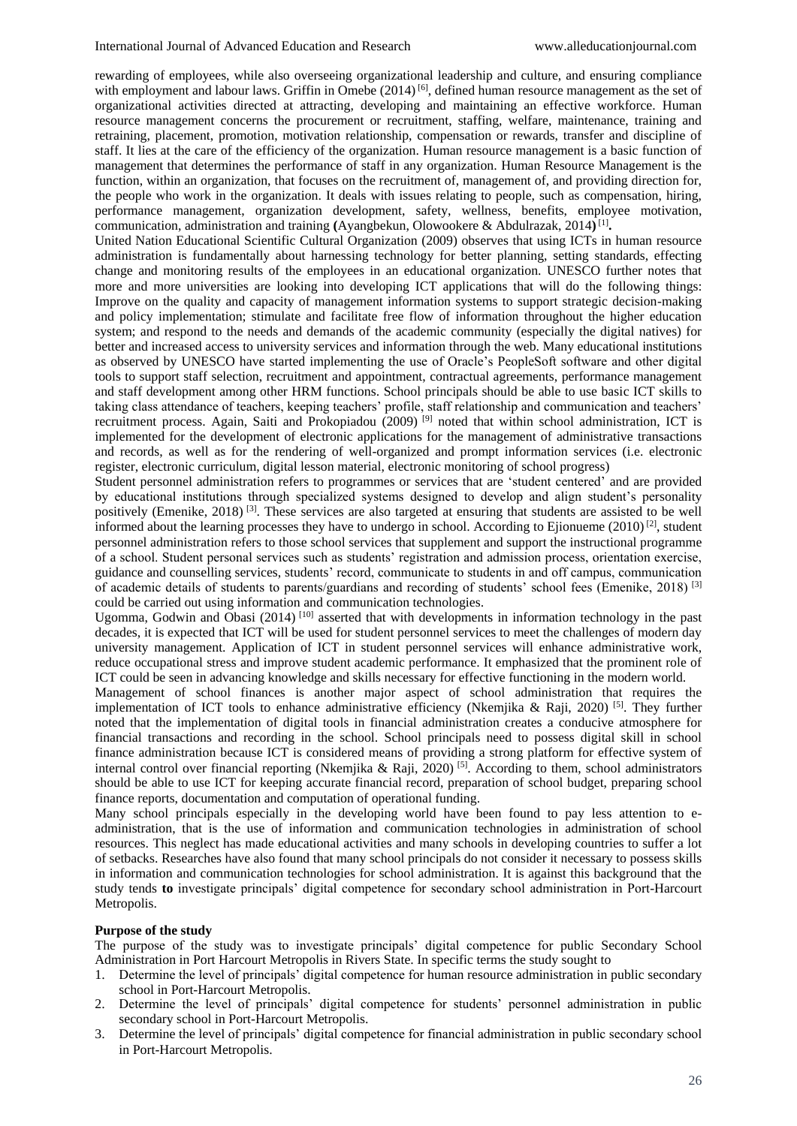rewarding of employees, while also overseeing organizational leadership and culture, and ensuring compliance with employment and labour laws. Griffin in Omebe (2014)<sup>[6]</sup>, defined human resource management as the set of organizational activities directed at attracting, developing and maintaining an effective workforce. Human resource management concerns the procurement or recruitment, staffing, welfare, maintenance, training and retraining, placement, promotion, motivation relationship, compensation or rewards, transfer and discipline of staff. It lies at the care of the efficiency of the organization. Human resource management is a basic function of management that determines the performance of staff in any organization. Human Resource Management is the function, within an organization, that focuses on the recruitment of, management of, and providing direction for, the people who work in the organization. It deals with issues relating to people, such as compensation, hiring, performance management, organization development, safety, wellness, benefits, employee motivation, communication, administration and training **(**Ayangbekun, Olowookere & Abdulrazak, 2014**)** [1] **.**

United Nation Educational Scientific Cultural Organization (2009) observes that using ICTs in human resource administration is fundamentally about harnessing technology for better planning, setting standards, effecting change and monitoring results of the employees in an educational organization. UNESCO further notes that more and more universities are looking into developing ICT applications that will do the following things: Improve on the quality and capacity of management information systems to support strategic decision-making and policy implementation; stimulate and facilitate free flow of information throughout the higher education system; and respond to the needs and demands of the academic community (especially the digital natives) for better and increased access to university services and information through the web. Many educational institutions as observed by UNESCO have started implementing the use of Oracle's PeopleSoft software and other digital tools to support staff selection, recruitment and appointment, contractual agreements, performance management and staff development among other HRM functions. School principals should be able to use basic ICT skills to taking class attendance of teachers, keeping teachers' profile, staff relationship and communication and teachers' recruitment process. Again, Saiti and Prokopiadou (2009) [9] noted that within school administration, ICT is implemented for the development of electronic applications for the management of administrative transactions and records, as well as for the rendering of well-organized and prompt information services (i.e. electronic register, electronic curriculum, digital lesson material, electronic monitoring of school progress)

Student personnel administration refers to programmes or services that are 'student centered' and are provided by educational institutions through specialized systems designed to develop and align student's personality positively (Emenike, 2018)<sup>[3]</sup>. These services are also targeted at ensuring that students are assisted to be well informed about the learning processes they have to undergo in school. According to Ejionueme (2010)<sup>[2]</sup>, student personnel administration refers to those school services that supplement and support the instructional programme of a school. Student personal services such as students' registration and admission process, orientation exercise, guidance and counselling services, students' record, communicate to students in and off campus, communication of academic details of students to parents/guardians and recording of students' school fees (Emenike, 2018) [3] could be carried out using information and communication technologies.

Ugomma, Godwin and Obasi  $(2014)$ <sup>[10]</sup> asserted that with developments in information technology in the past decades, it is expected that ICT will be used for student personnel services to meet the challenges of modern day university management. Application of ICT in student personnel services will enhance administrative work, reduce occupational stress and improve student academic performance. It emphasized that the prominent role of ICT could be seen in advancing knowledge and skills necessary for effective functioning in the modern world.

Management of school finances is another major aspect of school administration that requires the implementation of ICT tools to enhance administrative efficiency (Nkemjika & Raji, 2020)<sup>[5]</sup>. They further noted that the implementation of digital tools in financial administration creates a conducive atmosphere for financial transactions and recording in the school. School principals need to possess digital skill in school finance administration because ICT is considered means of providing a strong platform for effective system of internal control over financial reporting (Nkemjika & Raji, 2020)<sup>[5]</sup>. According to them, school administrators should be able to use ICT for keeping accurate financial record, preparation of school budget, preparing school finance reports, documentation and computation of operational funding.

Many school principals especially in the developing world have been found to pay less attention to eadministration, that is the use of information and communication technologies in administration of school resources. This neglect has made educational activities and many schools in developing countries to suffer a lot of setbacks. Researches have also found that many school principals do not consider it necessary to possess skills in information and communication technologies for school administration. It is against this background that the study tends **to** investigate principals' digital competence for secondary school administration in Port-Harcourt Metropolis.

#### **Purpose of the study**

The purpose of the study was to investigate principals' digital competence for public Secondary School Administration in Port Harcourt Metropolis in Rivers State. In specific terms the study sought to

- 1. Determine the level of principals' digital competence for human resource administration in public secondary school in Port-Harcourt Metropolis.
- 2. Determine the level of principals' digital competence for students' personnel administration in public secondary school in Port-Harcourt Metropolis.
- 3. Determine the level of principals' digital competence for financial administration in public secondary school in Port-Harcourt Metropolis.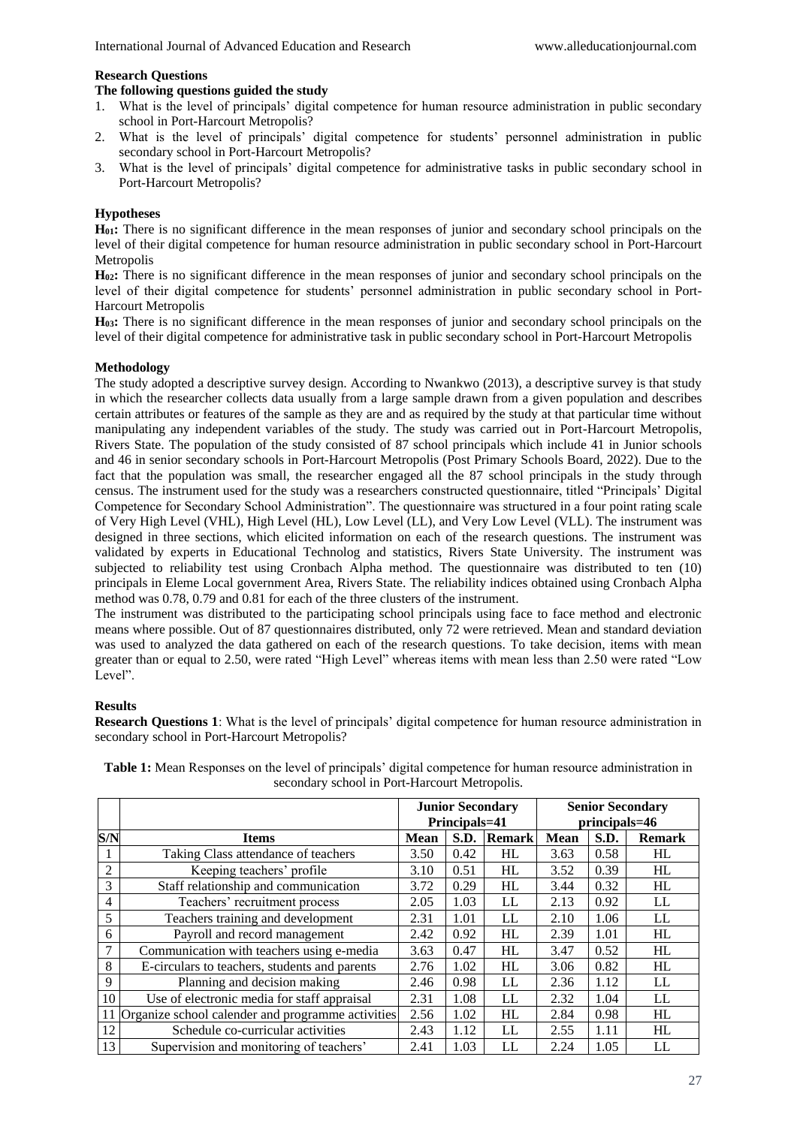## **Research Questions**

## **The following questions guided the study**

- 1. What is the level of principals' digital competence for human resource administration in public secondary school in Port-Harcourt Metropolis?
- 2. What is the level of principals' digital competence for students' personnel administration in public secondary school in Port-Harcourt Metropolis?
- 3. What is the level of principals' digital competence for administrative tasks in public secondary school in Port-Harcourt Metropolis?

## **Hypotheses**

**H01:** There is no significant difference in the mean responses of junior and secondary school principals on the level of their digital competence for human resource administration in public secondary school in Port-Harcourt Metropolis

**H02:** There is no significant difference in the mean responses of junior and secondary school principals on the level of their digital competence for students' personnel administration in public secondary school in Port-Harcourt Metropolis

**H03:** There is no significant difference in the mean responses of junior and secondary school principals on the level of their digital competence for administrative task in public secondary school in Port-Harcourt Metropolis

## **Methodology**

The study adopted a descriptive survey design. According to Nwankwo (2013), a descriptive survey is that study in which the researcher collects data usually from a large sample drawn from a given population and describes certain attributes or features of the sample as they are and as required by the study at that particular time without manipulating any independent variables of the study. The study was carried out in Port-Harcourt Metropolis, Rivers State. The population of the study consisted of 87 school principals which include 41 in Junior schools and 46 in senior secondary schools in Port-Harcourt Metropolis (Post Primary Schools Board, 2022). Due to the fact that the population was small, the researcher engaged all the 87 school principals in the study through census. The instrument used for the study was a researchers constructed questionnaire, titled "Principals' Digital Competence for Secondary School Administration". The questionnaire was structured in a four point rating scale of Very High Level (VHL), High Level (HL), Low Level (LL), and Very Low Level (VLL). The instrument was designed in three sections, which elicited information on each of the research questions. The instrument was validated by experts in Educational Technolog and statistics, Rivers State University. The instrument was subjected to reliability test using Cronbach Alpha method. The questionnaire was distributed to ten (10) principals in Eleme Local government Area, Rivers State. The reliability indices obtained using Cronbach Alpha method was 0.78, 0.79 and 0.81 for each of the three clusters of the instrument.

The instrument was distributed to the participating school principals using face to face method and electronic means where possible. Out of 87 questionnaires distributed, only 72 were retrieved. Mean and standard deviation was used to analyzed the data gathered on each of the research questions. To take decision, items with mean greater than or equal to 2.50, were rated "High Level" whereas items with mean less than 2.50 were rated "Low Level".

# **Results**

**Research Questions 1**: What is the level of principals' digital competence for human resource administration in secondary school in Port-Harcourt Metropolis?

|                |                                                   |             | <b>Junior Secondary</b><br>Principals=41 |               | <b>Senior Secondary</b><br>principals=46 |      |               |  |
|----------------|---------------------------------------------------|-------------|------------------------------------------|---------------|------------------------------------------|------|---------------|--|
| S/N            | <b>Items</b>                                      | <b>Mean</b> | S.D.                                     | <b>Remark</b> | Mean                                     | S.D. | <b>Remark</b> |  |
|                | Taking Class attendance of teachers               | 3.50        | 0.42                                     | HL            | 3.63                                     | 0.58 | HL            |  |
| $\overline{2}$ | Keeping teachers' profile                         | 3.10        | 0.51                                     | HL            | 3.52                                     | 0.39 | HL            |  |
| 3              | Staff relationship and communication              |             | 0.29                                     | HL            | 3.44                                     | 0.32 | HL            |  |
| 4              | Teachers' recruitment process                     |             | 1.03                                     | LL            | 2.13                                     | 0.92 | LL            |  |
| 5              | Teachers training and development                 | 2.31        | 1.01                                     | LL            | 2.10                                     | 1.06 | LL            |  |
| 6              | Payroll and record management                     | 2.42        | 0.92                                     | HL            | 2.39                                     | 1.01 | HL            |  |
| $\overline{7}$ | Communication with teachers using e-media         | 3.63        | 0.47                                     | HL            | 3.47                                     | 0.52 | HL            |  |
| 8              | E-circulars to teachers, students and parents     | 2.76        | 1.02                                     | <b>HL</b>     | 3.06                                     | 0.82 | HL            |  |
| 9              | Planning and decision making                      | 2.46        | 0.98                                     | LL            | 2.36                                     | 1.12 | LL            |  |
| 10             | Use of electronic media for staff appraisal       | 2.31        | 1.08                                     | LL            | 2.32                                     | 1.04 | LL            |  |
| 11             | Organize school calender and programme activities | 2.56        | 1.02                                     | HL            | 2.84                                     | 0.98 | HL            |  |
| 12             | Schedule co-curricular activities                 | 2.43        | 1.12                                     | LL            | 2.55                                     | 1.11 | HL            |  |
| 13             | Supervision and monitoring of teachers'           | 2.41        | 1.03                                     | LL            | 2.24                                     | 1.05 | LL            |  |

**Table 1:** Mean Responses on the level of principals' digital competence for human resource administration in secondary school in Port-Harcourt Metropolis.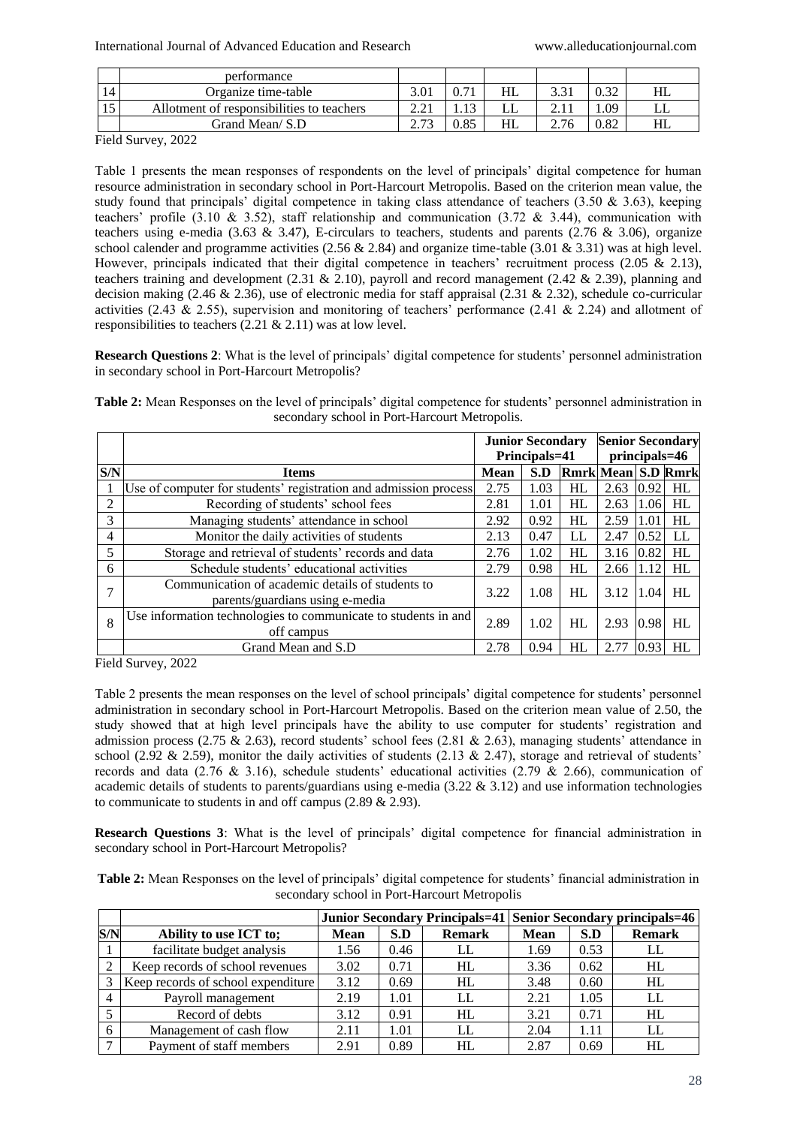|    | performance                               |           |      |      |       |      |    |
|----|-------------------------------------------|-----------|------|------|-------|------|----|
| 14 | Organize time-table                       | 3.01      |      | HL   | ر ر.ر | 0.22 | HL |
| 15 | Allotment of responsibilities to teachers | 2.21      |      | LJ L |       | 0.09 | பட |
|    | Grand Mean/ S.D                           | $\sim$ 72 | 0.85 | HL   | 2.76  | 0.82 | HL |

Field Survey, 2022

Table 1 presents the mean responses of respondents on the level of principals' digital competence for human resource administration in secondary school in Port-Harcourt Metropolis. Based on the criterion mean value, the study found that principals' digital competence in taking class attendance of teachers  $(3.50 \& 3.63)$ , keeping teachers' profile (3.10 & 3.52), staff relationship and communication (3.72 & 3.44), communication with teachers using e-media (3.63  $\&$  3.47), E-circulars to teachers, students and parents (2.76  $\&$  3.06), organize school calender and programme activities (2.56  $& 2.84$ ) and organize time-table (3.01  $& 3.31$ ) was at high level. However, principals indicated that their digital competence in teachers' recruitment process (2.05 & 2.13), teachers training and development (2.31 & 2.10), payroll and record management (2.42 & 2.39), planning and decision making (2.46 & 2.36), use of electronic media for staff appraisal (2.31 & 2.32), schedule co-curricular activities (2.43  $\&$  2.55), supervision and monitoring of teachers' performance (2.41  $\&$  2.24) and allotment of responsibilities to teachers (2.21 & 2.11) was at low level.

**Research Questions 2**: What is the level of principals' digital competence for students' personnel administration in secondary school in Port-Harcourt Metropolis?

**Table 2:** Mean Responses on the level of principals' digital competence for students' personnel administration in secondary school in Port-Harcourt Metropolis.

|     |                                                                                     | <b>Junior Secondary</b> |               |                           | <b>Senior Secondary</b> |      |     |
|-----|-------------------------------------------------------------------------------------|-------------------------|---------------|---------------------------|-------------------------|------|-----|
|     |                                                                                     | Principals=41           | principals=46 |                           |                         |      |     |
| S/N | <b>Items</b>                                                                        | <b>Mean</b>             | S.D           | <b>Rmrk Mean S.D Rmrk</b> |                         |      |     |
|     | Use of computer for students' registration and admission process                    | 2.75                    | 1.03          | HL                        | 2.63                    | 0.92 | HL  |
| 2   | Recording of students' school fees                                                  | 2.81                    | 1.01          | HL                        | 2.63                    | 1.06 | HL  |
| 3   | Managing students' attendance in school                                             | 2.92                    | 0.92          | HL                        | 2.59                    | 1.01 | HL  |
| 4   | Monitor the daily activities of students                                            | 2.13                    | 0.47          | LL                        | 2.47                    | 0.52 | LL  |
| 5   | Storage and retrieval of students' records and data                                 | 2.76                    | 1.02          | HL                        | 3.16                    | 0.82 | HL  |
| 6   | Schedule students' educational activities                                           | 2.79                    | 0.98          | HL                        | 2.66                    | 1.12 | HL  |
| 7   | Communication of academic details of students to<br>parents/guardians using e-media | 3.22                    | 1.08          | HL                        | 3.12                    | 1.04 | HL  |
| 8   | Use information technologies to communicate to students in and<br>off campus        | 2.89                    | 1.02          | HL                        | 2.93                    | 0.98 | HL. |
|     | Grand Mean and S.D                                                                  | 2.78                    | 0.94          | HL                        | 2.77                    | 0.93 | HL  |

Field Survey, 2022

Table 2 presents the mean responses on the level of school principals' digital competence for students' personnel administration in secondary school in Port-Harcourt Metropolis. Based on the criterion mean value of 2.50, the study showed that at high level principals have the ability to use computer for students' registration and admission process (2.75  $\&$  2.63), record students' school fees (2.81  $\&$  2.63), managing students' attendance in school (2.92 & 2.59), monitor the daily activities of students (2.13 & 2.47), storage and retrieval of students' records and data (2.76 & 3.16), schedule students' educational activities (2.79 & 2.66), communication of academic details of students to parents/guardians using e-media  $(3.22 \& 3.12)$  and use information technologies to communicate to students in and off campus (2.89 & 2.93).

**Research Questions 3**: What is the level of principals' digital competence for financial administration in secondary school in Port-Harcourt Metropolis?

| Table 2: Mean Responses on the level of principals' digital competence for students' financial administration in |                                              |  |
|------------------------------------------------------------------------------------------------------------------|----------------------------------------------|--|
|                                                                                                                  | secondary school in Port-Harcourt Metropolis |  |

|     |                                    |             |      |               |             |      | <b>Junior Secondary Principals=41 Senior Secondary principals=46</b> |
|-----|------------------------------------|-------------|------|---------------|-------------|------|----------------------------------------------------------------------|
| S/N | Ability to use ICT to;             | <b>Mean</b> | S.D  | <b>Remark</b> | <b>Mean</b> | S.D  | <b>Remark</b>                                                        |
|     | facilitate budget analysis         | 1.56        | 0.46 | LL            | 1.69        | 0.53 | LL                                                                   |
|     | Keep records of school revenues    | 3.02        | 0.71 | HL            | 3.36        | 0.62 | HL                                                                   |
|     | Keep records of school expenditure | 3.12        | 0.69 | HL            | 3.48        | 0.60 | HL                                                                   |
|     | Payroll management                 | 2.19        | 1.01 | LL            | 2.21        | 1.05 | LL                                                                   |
|     | Record of debts                    | 3.12        | 0.91 | HL            | 3.21        | 0.71 | HL                                                                   |
| 6   | Management of cash flow            | 2.11        | 1.01 | LL            | 2.04        | 1.11 | LL                                                                   |
|     | Payment of staff members           | 2.91        | 0.89 | HL            | 2.87        | 0.69 | HL                                                                   |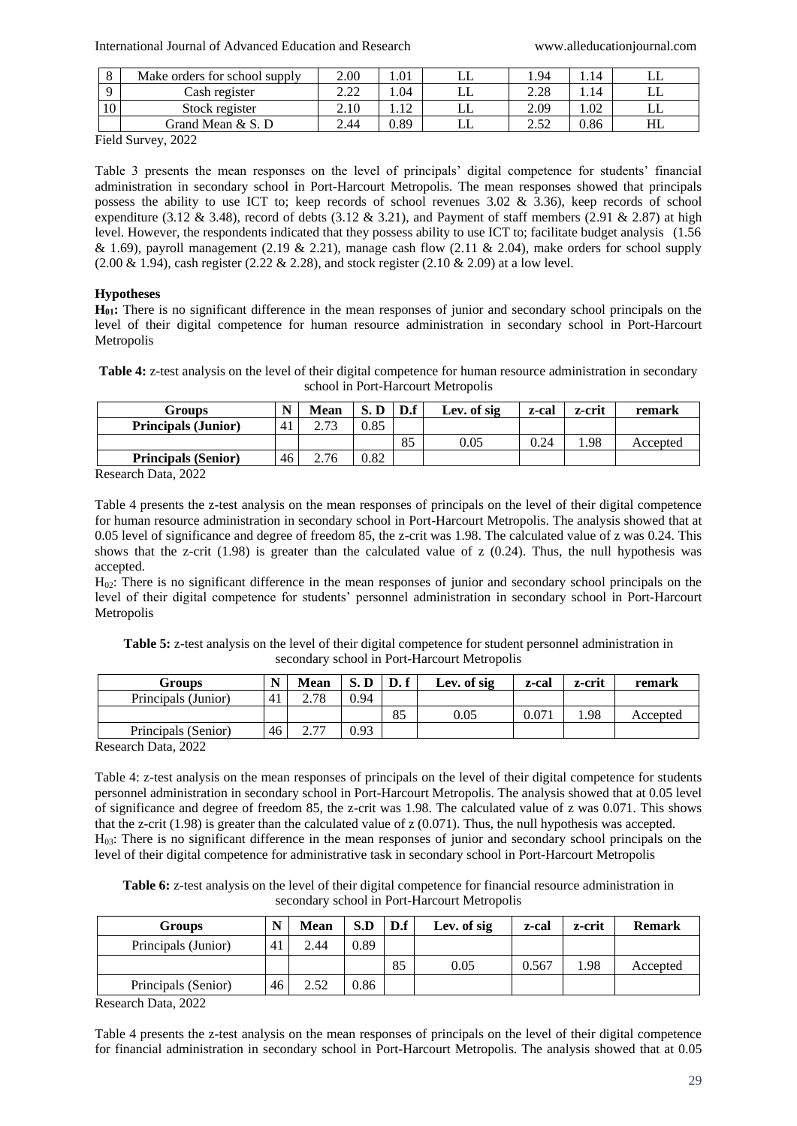|                 | Make orders for school supply | 2.00 | 1.01           | يابا | .94                         | .14    |    |
|-----------------|-------------------------------|------|----------------|------|-----------------------------|--------|----|
|                 | Cash register                 | ററ   | .04            | ப    | ററ<br>$\angle$ . $\angle$ c | . . 14 | ப  |
| 10 <sup>1</sup> | Stock register                | 2.10 | 1 <sub>2</sub> | ப    | 2.09                        | 1.02   | ப  |
|                 | Grand Mean & S. D             | 2.44 | 0.89           | ىلىا | $\cap$ $\in$<br>ے . ۔       | 0.86   | HL |

Field Survey, 2022

Table 3 presents the mean responses on the level of principals' digital competence for students' financial administration in secondary school in Port-Harcourt Metropolis. The mean responses showed that principals possess the ability to use ICT to; keep records of school revenues 3.02 & 3.36), keep records of school expenditure (3.12 & 3.48), record of debts (3.12 & 3.21), and Payment of staff members (2.91 & 2.87) at high level. However, the respondents indicated that they possess ability to use ICT to; facilitate budget analysis (1.56 & 1.69), payroll management (2.19 & 2.21), manage cash flow (2.11 & 2.04), make orders for school supply  $(2.00 \& 1.94)$ , cash register  $(2.22 \& 2.28)$ , and stock register  $(2.10 \& 2.09)$  at a low level.

# **Hypotheses**

**H01:** There is no significant difference in the mean responses of junior and secondary school principals on the level of their digital competence for human resource administration in secondary school in Port-Harcourt Metropolis

**Table 4:** z-test analysis on the level of their digital competence for human resource administration in secondary school in Port-Harcourt Metropolis

| Groups                                                        | N              | Mean | S.D  | D.f | Lev. of sig | z-cal | z-crit | remark   |
|---------------------------------------------------------------|----------------|------|------|-----|-------------|-------|--------|----------|
| <b>Principals (Junior)</b>                                    | 4 <sub>1</sub> | 272  | 0.85 |     |             |       |        |          |
|                                                               |                |      |      | 85  | 0.05        | 0.24  | 1.98   | Accepted |
| <b>Principals (Senior)</b>                                    | 46             | 2.76 | 0.82 |     |             |       |        |          |
| $\mathbf{D}$ $\mathbf{D}$ $\mathbf{D}$ $\mathbf{A}\mathbf{D}$ |                |      |      |     |             |       |        |          |

Research Data, 2022

Table 4 presents the z-test analysis on the mean responses of principals on the level of their digital competence for human resource administration in secondary school in Port-Harcourt Metropolis. The analysis showed that at 0.05 level of significance and degree of freedom 85, the z-crit was 1.98. The calculated value of z was 0.24. This shows that the z-crit  $(1.98)$  is greater than the calculated value of z  $(0.24)$ . Thus, the null hypothesis was accepted.

H02: There is no significant difference in the mean responses of junior and secondary school principals on the level of their digital competence for students' personnel administration in secondary school in Port-Harcourt Metropolis

**Table 5:** z-test analysis on the level of their digital competence for student personnel administration in secondary school in Port-Harcourt Metropolis

| 2.78<br>0.94<br>Principals (Junior)<br>41<br>85<br>.98<br>0.05<br>0.071 | Groups | N | <b>Mean</b> | S.D | D. f | Lev. of sig | z-cal | z-crit | remark   |
|-------------------------------------------------------------------------|--------|---|-------------|-----|------|-------------|-------|--------|----------|
|                                                                         |        |   |             |     |      |             |       |        |          |
|                                                                         |        |   |             |     |      |             |       |        | Accepted |
| $\gamma$ $\tau\tau$<br>0.93<br>46<br>Principals (Senior)                |        |   |             |     |      |             |       |        |          |

Research Data, 2022

Table 4: z-test analysis on the mean responses of principals on the level of their digital competence for students personnel administration in secondary school in Port-Harcourt Metropolis. The analysis showed that at 0.05 level of significance and degree of freedom 85, the z-crit was 1.98. The calculated value of z was 0.071. This shows that the z-crit (1.98) is greater than the calculated value of z (0.071). Thus, the null hypothesis was accepted. H03: There is no significant difference in the mean responses of junior and secondary school principals on the level of their digital competence for administrative task in secondary school in Port-Harcourt Metropolis

**Table 6:** z-test analysis on the level of their digital competence for financial resource administration in secondary school in Port-Harcourt Metropolis

| Groups                                       | N  | Mean | S.D  | $\mathbf{D}.\mathbf{f}$ | Lev. of sig | z-cal | z-crit | <b>Remark</b> |
|----------------------------------------------|----|------|------|-------------------------|-------------|-------|--------|---------------|
| Principals (Junior)                          | 41 | 2.44 | 0.89 |                         |             |       |        |               |
|                                              |    |      |      | 85                      | 0.05        | 0.567 | 1.98   | Accepted      |
| Principals (Senior)                          | 46 | 2.52 | 0.86 |                         |             |       |        |               |
| $\sim$<br>$\sim$ $\sim$ $\sim$ $\sim$ $\sim$ |    |      |      |                         |             |       |        |               |

Research Data, 2022

Table 4 presents the z-test analysis on the mean responses of principals on the level of their digital competence for financial administration in secondary school in Port-Harcourt Metropolis. The analysis showed that at 0.05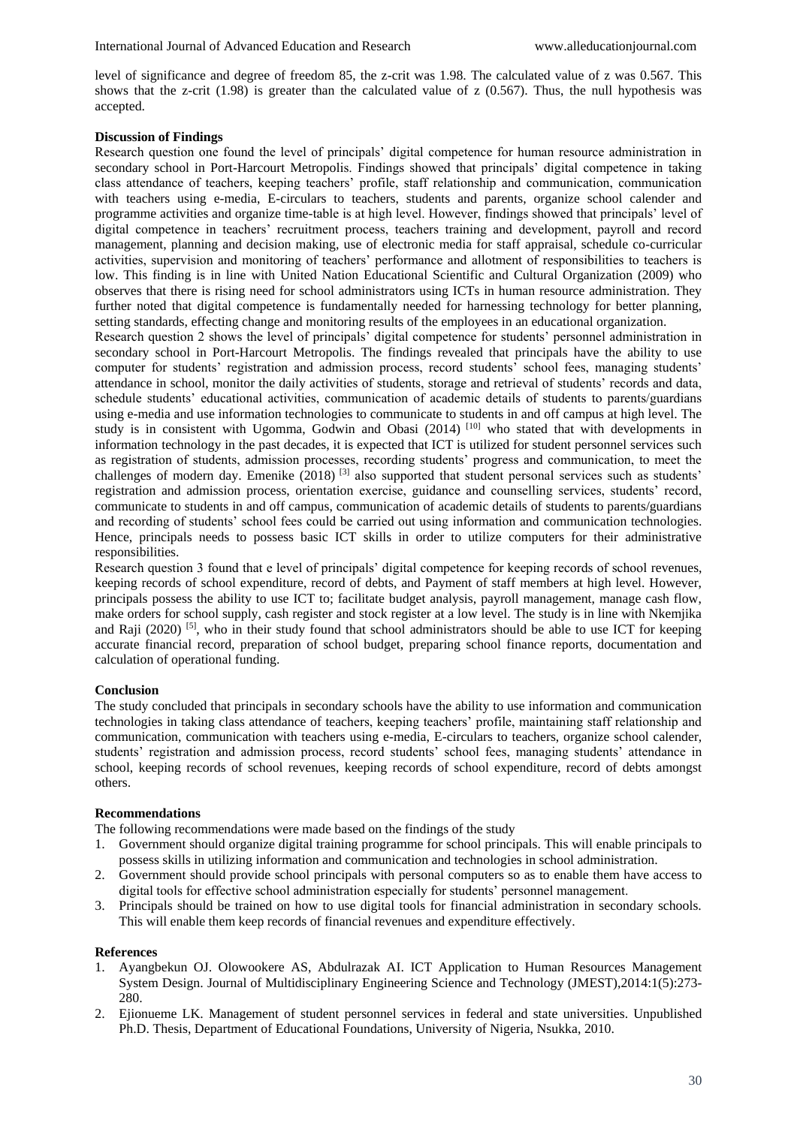level of significance and degree of freedom 85, the z-crit was 1.98. The calculated value of z was 0.567. This shows that the z-crit  $(1.98)$  is greater than the calculated value of z  $(0.567)$ . Thus, the null hypothesis was accepted.

## **Discussion of Findings**

Research question one found the level of principals' digital competence for human resource administration in secondary school in Port-Harcourt Metropolis. Findings showed that principals' digital competence in taking class attendance of teachers, keeping teachers' profile, staff relationship and communication, communication with teachers using e-media, E-circulars to teachers, students and parents, organize school calender and programme activities and organize time-table is at high level. However, findings showed that principals' level of digital competence in teachers' recruitment process, teachers training and development, payroll and record management, planning and decision making, use of electronic media for staff appraisal, schedule co-curricular activities, supervision and monitoring of teachers' performance and allotment of responsibilities to teachers is low. This finding is in line with United Nation Educational Scientific and Cultural Organization (2009) who observes that there is rising need for school administrators using ICTs in human resource administration. They further noted that digital competence is fundamentally needed for harnessing technology for better planning, setting standards, effecting change and monitoring results of the employees in an educational organization.

Research question 2 shows the level of principals' digital competence for students' personnel administration in secondary school in Port-Harcourt Metropolis. The findings revealed that principals have the ability to use computer for students' registration and admission process, record students' school fees, managing students' attendance in school, monitor the daily activities of students, storage and retrieval of students' records and data, schedule students' educational activities, communication of academic details of students to parents/guardians using e-media and use information technologies to communicate to students in and off campus at high level. The study is in consistent with Ugomma, Godwin and Obasi (2014) [10] who stated that with developments in information technology in the past decades, it is expected that ICT is utilized for student personnel services such as registration of students, admission processes, recording students' progress and communication, to meet the challenges of modern day. Emenike (2018)<sup>[3]</sup> also supported that student personal services such as students' registration and admission process, orientation exercise, guidance and counselling services, students' record, communicate to students in and off campus, communication of academic details of students to parents/guardians and recording of students' school fees could be carried out using information and communication technologies. Hence, principals needs to possess basic ICT skills in order to utilize computers for their administrative responsibilities.

Research question 3 found that e level of principals' digital competence for keeping records of school revenues, keeping records of school expenditure, record of debts, and Payment of staff members at high level. However, principals possess the ability to use ICT to; facilitate budget analysis, payroll management, manage cash flow, make orders for school supply, cash register and stock register at a low level. The study is in line with Nkemjika and Raji (2020)<sup>[5]</sup>, who in their study found that school administrators should be able to use ICT for keeping accurate financial record, preparation of school budget, preparing school finance reports, documentation and calculation of operational funding.

# **Conclusion**

The study concluded that principals in secondary schools have the ability to use information and communication technologies in taking class attendance of teachers, keeping teachers' profile, maintaining staff relationship and communication, communication with teachers using e-media, E-circulars to teachers, organize school calender, students' registration and admission process, record students' school fees, managing students' attendance in school, keeping records of school revenues, keeping records of school expenditure, record of debts amongst others.

#### **Recommendations**

The following recommendations were made based on the findings of the study

- 1. Government should organize digital training programme for school principals. This will enable principals to possess skills in utilizing information and communication and technologies in school administration.
- 2. Government should provide school principals with personal computers so as to enable them have access to digital tools for effective school administration especially for students' personnel management.
- 3. Principals should be trained on how to use digital tools for financial administration in secondary schools. This will enable them keep records of financial revenues and expenditure effectively.

#### **References**

- 1. Ayangbekun OJ. Olowookere AS, Abdulrazak AI. ICT Application to Human Resources Management System Design. Journal of Multidisciplinary Engineering Science and Technology (JMEST),2014:1(5):273- 280.
- 2. Ejionueme LK. Management of student personnel services in federal and state universities. Unpublished Ph.D. Thesis, Department of Educational Foundations, University of Nigeria, Nsukka, 2010.